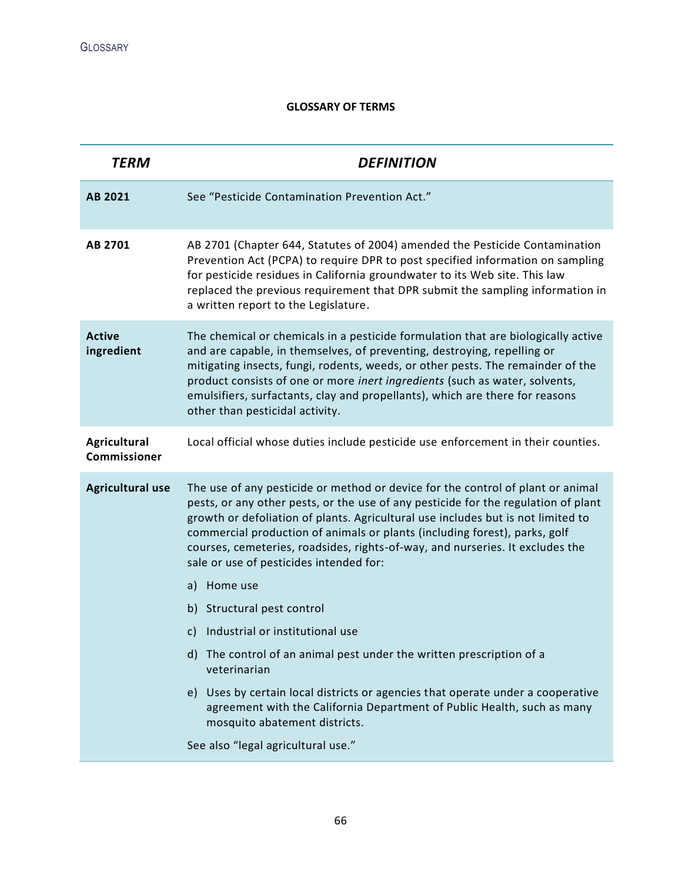## **GLOSSARY OF TERMS**

| <b>TERM</b>                  | <b>DEFINITION</b>                                                                                                                                                                                                                                                                                                                                                                                                                                                   |
|------------------------------|---------------------------------------------------------------------------------------------------------------------------------------------------------------------------------------------------------------------------------------------------------------------------------------------------------------------------------------------------------------------------------------------------------------------------------------------------------------------|
| AB 2021                      | See "Pesticide Contamination Prevention Act."                                                                                                                                                                                                                                                                                                                                                                                                                       |
| AB 2701                      | AB 2701 (Chapter 644, Statutes of 2004) amended the Pesticide Contamination<br>Prevention Act (PCPA) to require DPR to post specified information on sampling<br>for pesticide residues in California groundwater to its Web site. This law<br>replaced the previous requirement that DPR submit the sampling information in<br>a written report to the Legislature.                                                                                                |
| <b>Active</b><br>ingredient  | The chemical or chemicals in a pesticide formulation that are biologically active<br>and are capable, in themselves, of preventing, destroying, repelling or<br>mitigating insects, fungi, rodents, weeds, or other pests. The remainder of the<br>product consists of one or more inert ingredients (such as water, solvents,<br>emulsifiers, surfactants, clay and propellants), which are there for reasons<br>other than pesticidal activity.                   |
| Agricultural<br>Commissioner | Local official whose duties include pesticide use enforcement in their counties.                                                                                                                                                                                                                                                                                                                                                                                    |
| <b>Agricultural use</b>      | The use of any pesticide or method or device for the control of plant or animal<br>pests, or any other pests, or the use of any pesticide for the regulation of plant<br>growth or defoliation of plants. Agricultural use includes but is not limited to<br>commercial production of animals or plants (including forest), parks, golf<br>courses, cemeteries, roadsides, rights-of-way, and nurseries. It excludes the<br>sale or use of pesticides intended for: |
|                              | Home use<br>a)                                                                                                                                                                                                                                                                                                                                                                                                                                                      |
|                              | b) Structural pest control                                                                                                                                                                                                                                                                                                                                                                                                                                          |
|                              | Industrial or institutional use<br>C)                                                                                                                                                                                                                                                                                                                                                                                                                               |
|                              | d) The control of an animal pest under the written prescription of a<br>veterinarian                                                                                                                                                                                                                                                                                                                                                                                |
|                              | e) Uses by certain local districts or agencies that operate under a cooperative<br>agreement with the California Department of Public Health, such as many<br>mosquito abatement districts.                                                                                                                                                                                                                                                                         |
|                              | See also "legal agricultural use."                                                                                                                                                                                                                                                                                                                                                                                                                                  |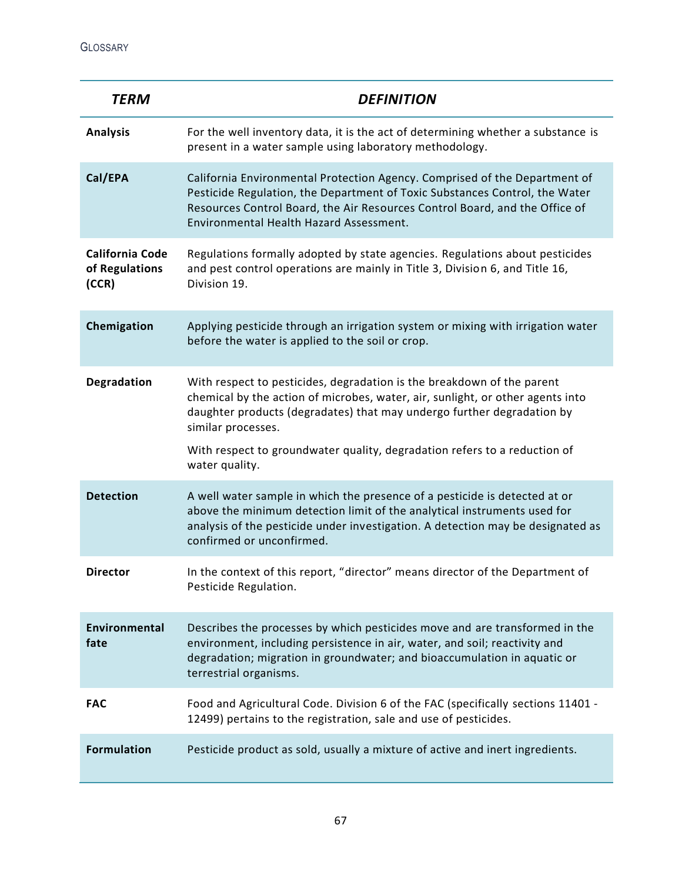| <b>TERM</b>                                       | <b>DEFINITION</b>                                                                                                                                                                                                                                                                                                                     |
|---------------------------------------------------|---------------------------------------------------------------------------------------------------------------------------------------------------------------------------------------------------------------------------------------------------------------------------------------------------------------------------------------|
| <b>Analysis</b>                                   | For the well inventory data, it is the act of determining whether a substance is<br>present in a water sample using laboratory methodology.                                                                                                                                                                                           |
| Cal/EPA                                           | California Environmental Protection Agency. Comprised of the Department of<br>Pesticide Regulation, the Department of Toxic Substances Control, the Water<br>Resources Control Board, the Air Resources Control Board, and the Office of<br>Environmental Health Hazard Assessment.                                                   |
| <b>California Code</b><br>of Regulations<br>(CCR) | Regulations formally adopted by state agencies. Regulations about pesticides<br>and pest control operations are mainly in Title 3, Division 6, and Title 16,<br>Division 19.                                                                                                                                                          |
| Chemigation                                       | Applying pesticide through an irrigation system or mixing with irrigation water<br>before the water is applied to the soil or crop.                                                                                                                                                                                                   |
| Degradation                                       | With respect to pesticides, degradation is the breakdown of the parent<br>chemical by the action of microbes, water, air, sunlight, or other agents into<br>daughter products (degradates) that may undergo further degradation by<br>similar processes.<br>With respect to groundwater quality, degradation refers to a reduction of |
|                                                   | water quality.                                                                                                                                                                                                                                                                                                                        |
| <b>Detection</b>                                  | A well water sample in which the presence of a pesticide is detected at or<br>above the minimum detection limit of the analytical instruments used for<br>analysis of the pesticide under investigation. A detection may be designated as<br>confirmed or unconfirmed.                                                                |
| <b>Director</b>                                   | In the context of this report, "director" means director of the Department of<br>Pesticide Regulation.                                                                                                                                                                                                                                |
| Environmental<br>fate                             | Describes the processes by which pesticides move and are transformed in the<br>environment, including persistence in air, water, and soil; reactivity and<br>degradation; migration in groundwater; and bioaccumulation in aquatic or<br>terrestrial organisms.                                                                       |
| <b>FAC</b>                                        | Food and Agricultural Code. Division 6 of the FAC (specifically sections 11401 -<br>12499) pertains to the registration, sale and use of pesticides.                                                                                                                                                                                  |
| <b>Formulation</b>                                | Pesticide product as sold, usually a mixture of active and inert ingredients.                                                                                                                                                                                                                                                         |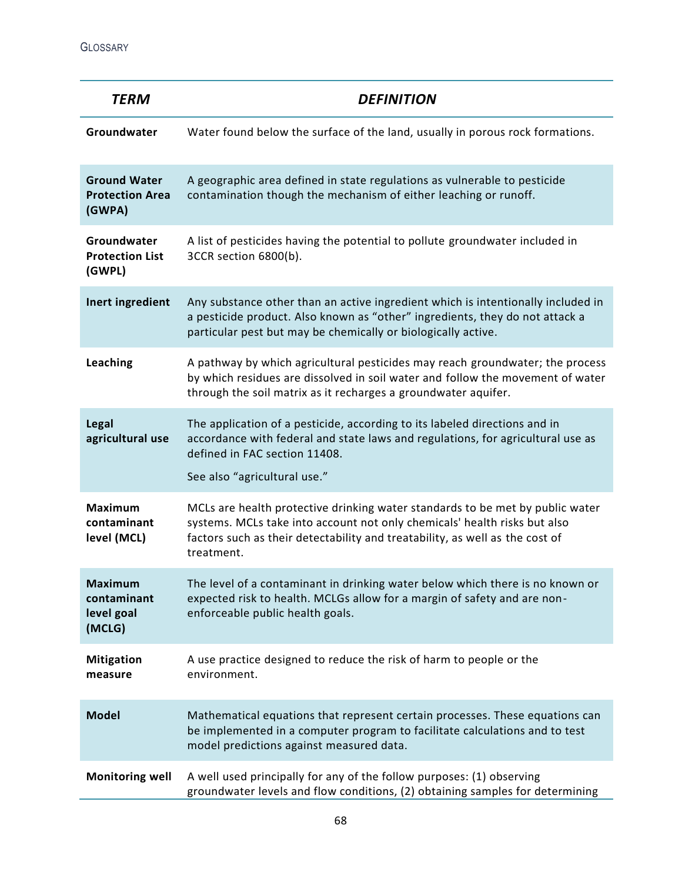GLOSSARY

| <b>TERM</b>                                             | <b>DEFINITION</b>                                                                                                                                                                                                                                        |
|---------------------------------------------------------|----------------------------------------------------------------------------------------------------------------------------------------------------------------------------------------------------------------------------------------------------------|
| Groundwater                                             | Water found below the surface of the land, usually in porous rock formations.                                                                                                                                                                            |
| <b>Ground Water</b><br><b>Protection Area</b><br>(GWPA) | A geographic area defined in state regulations as vulnerable to pesticide<br>contamination though the mechanism of either leaching or runoff.                                                                                                            |
| Groundwater<br><b>Protection List</b><br>(GWPL)         | A list of pesticides having the potential to pollute groundwater included in<br>3CCR section 6800(b).                                                                                                                                                    |
| Inert ingredient                                        | Any substance other than an active ingredient which is intentionally included in<br>a pesticide product. Also known as "other" ingredients, they do not attack a<br>particular pest but may be chemically or biologically active.                        |
| Leaching                                                | A pathway by which agricultural pesticides may reach groundwater; the process<br>by which residues are dissolved in soil water and follow the movement of water<br>through the soil matrix as it recharges a groundwater aquifer.                        |
| Legal<br>agricultural use                               | The application of a pesticide, according to its labeled directions and in<br>accordance with federal and state laws and regulations, for agricultural use as<br>defined in FAC section 11408.<br>See also "agricultural use."                           |
| <b>Maximum</b><br>contaminant<br>level (MCL)            | MCLs are health protective drinking water standards to be met by public water<br>systems. MCLs take into account not only chemicals' health risks but also<br>factors such as their detectability and treatability, as well as the cost of<br>treatment. |
| <b>Maximum</b><br>contaminant<br>level goal<br>(MCLG)   | The level of a contaminant in drinking water below which there is no known or<br>expected risk to health. MCLGs allow for a margin of safety and are non-<br>enforceable public health goals.                                                            |
| <b>Mitigation</b><br>measure                            | A use practice designed to reduce the risk of harm to people or the<br>environment.                                                                                                                                                                      |
| <b>Model</b>                                            | Mathematical equations that represent certain processes. These equations can<br>be implemented in a computer program to facilitate calculations and to test<br>model predictions against measured data.                                                  |
| <b>Monitoring well</b>                                  | A well used principally for any of the follow purposes: (1) observing<br>groundwater levels and flow conditions, (2) obtaining samples for determining                                                                                                   |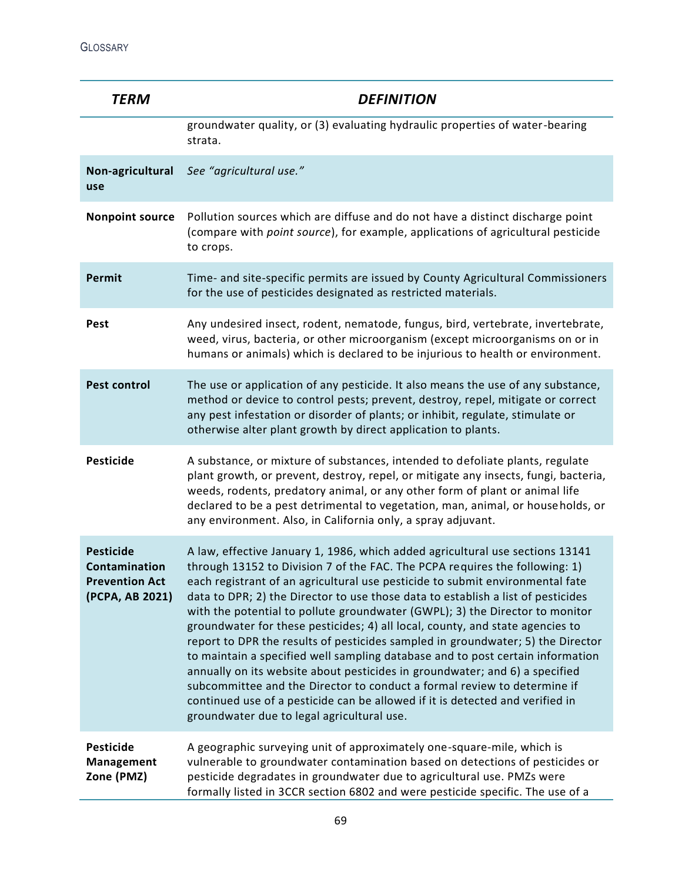| <b>TERM</b>                                                                   | <b>DEFINITION</b>                                                                                                                                                                                                                                                                                                                                                                                                                                                                                                                                                                                                                                                                                                                                                                                                                                                                                                                                                 |
|-------------------------------------------------------------------------------|-------------------------------------------------------------------------------------------------------------------------------------------------------------------------------------------------------------------------------------------------------------------------------------------------------------------------------------------------------------------------------------------------------------------------------------------------------------------------------------------------------------------------------------------------------------------------------------------------------------------------------------------------------------------------------------------------------------------------------------------------------------------------------------------------------------------------------------------------------------------------------------------------------------------------------------------------------------------|
|                                                                               | groundwater quality, or (3) evaluating hydraulic properties of water-bearing<br>strata.                                                                                                                                                                                                                                                                                                                                                                                                                                                                                                                                                                                                                                                                                                                                                                                                                                                                           |
| Non-agricultural<br>use                                                       | See "agricultural use."                                                                                                                                                                                                                                                                                                                                                                                                                                                                                                                                                                                                                                                                                                                                                                                                                                                                                                                                           |
| <b>Nonpoint source</b>                                                        | Pollution sources which are diffuse and do not have a distinct discharge point<br>(compare with point source), for example, applications of agricultural pesticide<br>to crops.                                                                                                                                                                                                                                                                                                                                                                                                                                                                                                                                                                                                                                                                                                                                                                                   |
| Permit                                                                        | Time- and site-specific permits are issued by County Agricultural Commissioners<br>for the use of pesticides designated as restricted materials.                                                                                                                                                                                                                                                                                                                                                                                                                                                                                                                                                                                                                                                                                                                                                                                                                  |
| Pest                                                                          | Any undesired insect, rodent, nematode, fungus, bird, vertebrate, invertebrate,<br>weed, virus, bacteria, or other microorganism (except microorganisms on or in<br>humans or animals) which is declared to be injurious to health or environment.                                                                                                                                                                                                                                                                                                                                                                                                                                                                                                                                                                                                                                                                                                                |
| <b>Pest control</b>                                                           | The use or application of any pesticide. It also means the use of any substance,<br>method or device to control pests; prevent, destroy, repel, mitigate or correct<br>any pest infestation or disorder of plants; or inhibit, regulate, stimulate or<br>otherwise alter plant growth by direct application to plants.                                                                                                                                                                                                                                                                                                                                                                                                                                                                                                                                                                                                                                            |
| <b>Pesticide</b>                                                              | A substance, or mixture of substances, intended to defoliate plants, regulate<br>plant growth, or prevent, destroy, repel, or mitigate any insects, fungi, bacteria,<br>weeds, rodents, predatory animal, or any other form of plant or animal life<br>declared to be a pest detrimental to vegetation, man, animal, or households, or<br>any environment. Also, in California only, a spray adjuvant.                                                                                                                                                                                                                                                                                                                                                                                                                                                                                                                                                            |
| <b>Pesticide</b><br>Contamination<br><b>Prevention Act</b><br>(PCPA, AB 2021) | A law, effective January 1, 1986, which added agricultural use sections 13141<br>through 13152 to Division 7 of the FAC. The PCPA requires the following: 1)<br>each registrant of an agricultural use pesticide to submit environmental fate<br>data to DPR; 2) the Director to use those data to establish a list of pesticides<br>with the potential to pollute groundwater (GWPL); 3) the Director to monitor<br>groundwater for these pesticides; 4) all local, county, and state agencies to<br>report to DPR the results of pesticides sampled in groundwater; 5) the Director<br>to maintain a specified well sampling database and to post certain information<br>annually on its website about pesticides in groundwater; and 6) a specified<br>subcommittee and the Director to conduct a formal review to determine if<br>continued use of a pesticide can be allowed if it is detected and verified in<br>groundwater due to legal agricultural use. |
| Pesticide<br>Management<br>Zone (PMZ)                                         | A geographic surveying unit of approximately one-square-mile, which is<br>vulnerable to groundwater contamination based on detections of pesticides or<br>pesticide degradates in groundwater due to agricultural use. PMZs were<br>formally listed in 3CCR section 6802 and were pesticide specific. The use of a                                                                                                                                                                                                                                                                                                                                                                                                                                                                                                                                                                                                                                                |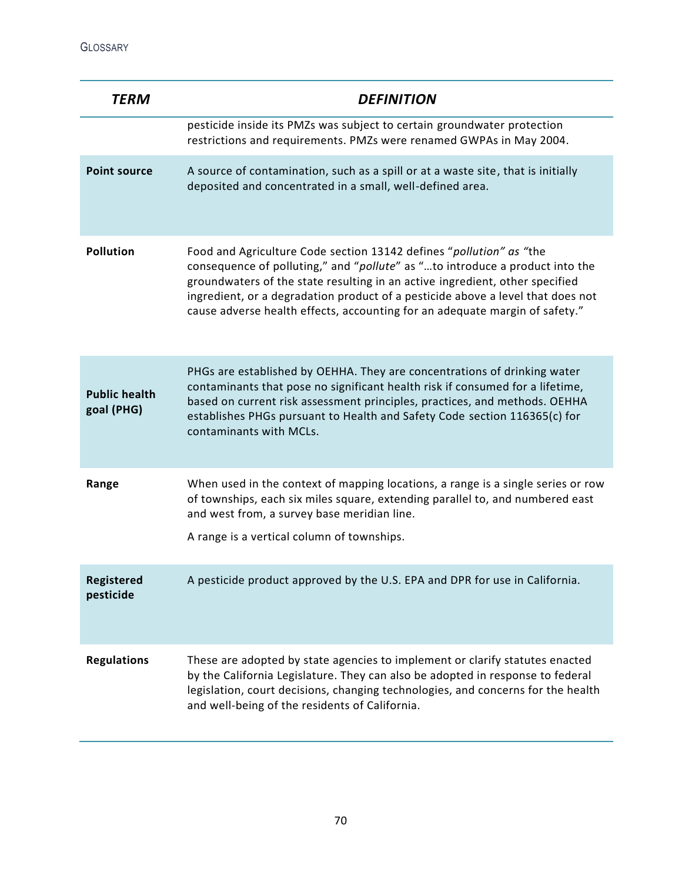| <b>TERM</b>                        | <b>DEFINITION</b>                                                                                                                                                                                                                                                                                                                                                                                     |
|------------------------------------|-------------------------------------------------------------------------------------------------------------------------------------------------------------------------------------------------------------------------------------------------------------------------------------------------------------------------------------------------------------------------------------------------------|
|                                    | pesticide inside its PMZs was subject to certain groundwater protection<br>restrictions and requirements. PMZs were renamed GWPAs in May 2004.                                                                                                                                                                                                                                                        |
| <b>Point source</b>                | A source of contamination, such as a spill or at a waste site, that is initially<br>deposited and concentrated in a small, well-defined area.                                                                                                                                                                                                                                                         |
| <b>Pollution</b>                   | Food and Agriculture Code section 13142 defines "pollution" as "the<br>consequence of polluting," and "pollute" as "to introduce a product into the<br>groundwaters of the state resulting in an active ingredient, other specified<br>ingredient, or a degradation product of a pesticide above a level that does not<br>cause adverse health effects, accounting for an adequate margin of safety." |
| <b>Public health</b><br>goal (PHG) | PHGs are established by OEHHA. They are concentrations of drinking water<br>contaminants that pose no significant health risk if consumed for a lifetime,<br>based on current risk assessment principles, practices, and methods. OEHHA<br>establishes PHGs pursuant to Health and Safety Code section 116365(c) for<br>contaminants with MCLs.                                                       |
| Range                              | When used in the context of mapping locations, a range is a single series or row<br>of townships, each six miles square, extending parallel to, and numbered east<br>and west from, a survey base meridian line.<br>A range is a vertical column of townships.                                                                                                                                        |
| Registered<br>pesticide            | A pesticide product approved by the U.S. EPA and DPR for use in California.                                                                                                                                                                                                                                                                                                                           |
| <b>Regulations</b>                 | These are adopted by state agencies to implement or clarify statutes enacted<br>by the California Legislature. They can also be adopted in response to federal<br>legislation, court decisions, changing technologies, and concerns for the health<br>and well-being of the residents of California.                                                                                                  |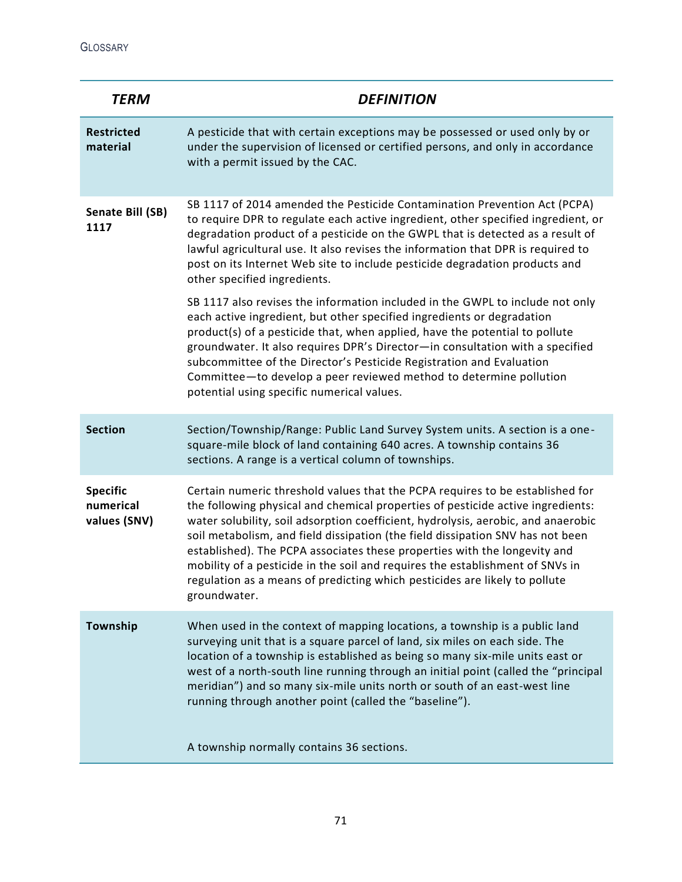GLOSSARY

| <b>TERM</b>                                  | <b>DEFINITION</b>                                                                                                                                                                                                                                                                                                                                                                                                                                                                                                                                                                                   |
|----------------------------------------------|-----------------------------------------------------------------------------------------------------------------------------------------------------------------------------------------------------------------------------------------------------------------------------------------------------------------------------------------------------------------------------------------------------------------------------------------------------------------------------------------------------------------------------------------------------------------------------------------------------|
| <b>Restricted</b><br>material                | A pesticide that with certain exceptions may be possessed or used only by or<br>under the supervision of licensed or certified persons, and only in accordance<br>with a permit issued by the CAC.                                                                                                                                                                                                                                                                                                                                                                                                  |
| Senate Bill (SB)<br>1117                     | SB 1117 of 2014 amended the Pesticide Contamination Prevention Act (PCPA)<br>to require DPR to regulate each active ingredient, other specified ingredient, or<br>degradation product of a pesticide on the GWPL that is detected as a result of<br>lawful agricultural use. It also revises the information that DPR is required to<br>post on its Internet Web site to include pesticide degradation products and<br>other specified ingredients.                                                                                                                                                 |
|                                              | SB 1117 also revises the information included in the GWPL to include not only<br>each active ingredient, but other specified ingredients or degradation<br>product(s) of a pesticide that, when applied, have the potential to pollute<br>groundwater. It also requires DPR's Director-in consultation with a specified<br>subcommittee of the Director's Pesticide Registration and Evaluation<br>Committee-to develop a peer reviewed method to determine pollution<br>potential using specific numerical values.                                                                                 |
| <b>Section</b>                               | Section/Township/Range: Public Land Survey System units. A section is a one-<br>square-mile block of land containing 640 acres. A township contains 36<br>sections. A range is a vertical column of townships.                                                                                                                                                                                                                                                                                                                                                                                      |
| <b>Specific</b><br>numerical<br>values (SNV) | Certain numeric threshold values that the PCPA requires to be established for<br>the following physical and chemical properties of pesticide active ingredients:<br>water solubility, soil adsorption coefficient, hydrolysis, aerobic, and anaerobic<br>soil metabolism, and field dissipation (the field dissipation SNV has not been<br>established). The PCPA associates these properties with the longevity and<br>mobility of a pesticide in the soil and requires the establishment of SNVs in<br>regulation as a means of predicting which pesticides are likely to pollute<br>groundwater. |
| Township                                     | When used in the context of mapping locations, a township is a public land<br>surveying unit that is a square parcel of land, six miles on each side. The<br>location of a township is established as being so many six-mile units east or<br>west of a north-south line running through an initial point (called the "principal<br>meridian") and so many six-mile units north or south of an east-west line<br>running through another point (called the "baseline").                                                                                                                             |
|                                              | A township normally contains 36 sections.                                                                                                                                                                                                                                                                                                                                                                                                                                                                                                                                                           |